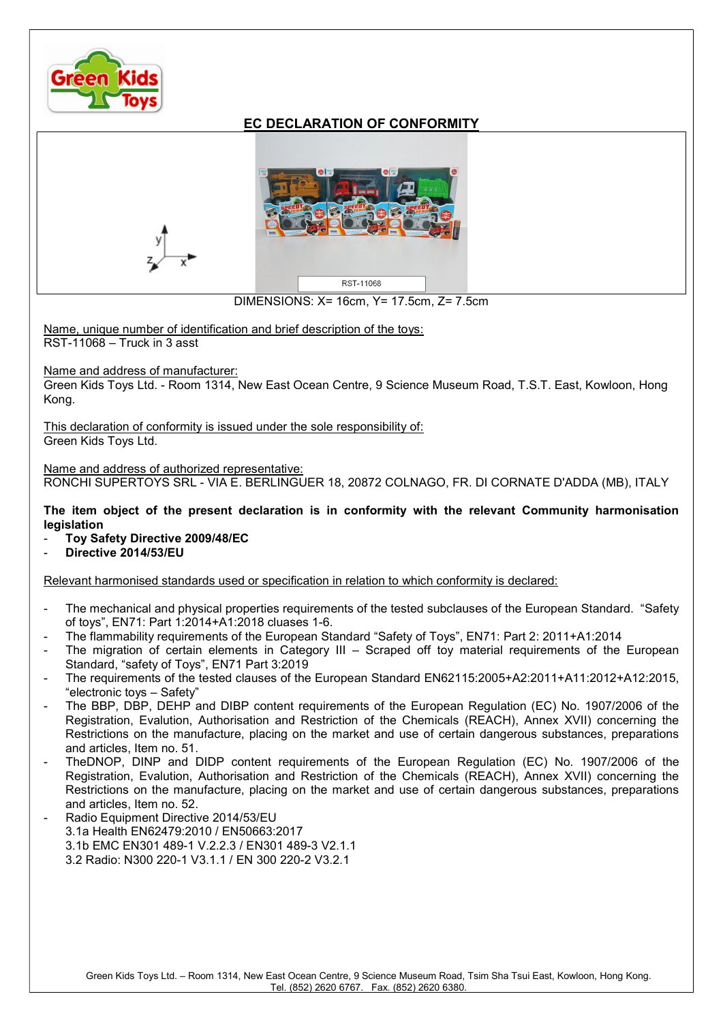

## EC DECLARATION OF CONFORMITY



DIMENSIONS: X= 16cm, Y= 17.5cm, Z= 7.5cm

Name, unique number of identification and brief description of the toys: RST-11068 – Truck in 3 asst

Name and address of manufacturer:

Green Kids Toys Ltd. - Room 1314, New East Ocean Centre, 9 Science Museum Road, T.S.T. East, Kowloon, Hong Kong.

This declaration of conformity is issued under the sole responsibility of: Green Kids Toys Ltd.

Name and address of authorized representative:

RONCHI SUPERTOYS SRL - VIA E. BERLINGUER 18, 20872 COLNAGO, FR. DI CORNATE D'ADDA (MB), ITALY

The item object of the present declaration is in conformity with the relevant Community harmonisation legislation

- Toy Safety Directive 2009/48/EC
- Directive 2014/53/EU

Relevant harmonised standards used or specification in relation to which conformity is declared:

- The mechanical and physical properties requirements of the tested subclauses of the European Standard. "Safety of toys", EN71: Part 1:2014+A1:2018 cluases 1-6.
- The flammability requirements of the European Standard "Safety of Toys", EN71: Part 2: 2011+A1:2014
- The migration of certain elements in Category III Scraped off toy material requirements of the European Standard, "safety of Toys", EN71 Part 3:2019
- The requirements of the tested clauses of the European Standard EN62115:2005+A2:2011+A11:2012+A12:2015, "electronic toys – Safety"
- The BBP, DBP, DEHP and DIBP content requirements of the European Regulation (EC) No. 1907/2006 of the Registration, Evalution, Authorisation and Restriction of the Chemicals (REACH), Annex XVII) concerning the Restrictions on the manufacture, placing on the market and use of certain dangerous substances, preparations and articles, Item no. 51.
- TheDNOP, DINP and DIDP content requirements of the European Regulation (EC) No. 1907/2006 of the Registration, Evalution, Authorisation and Restriction of the Chemicals (REACH), Annex XVII) concerning the Restrictions on the manufacture, placing on the market and use of certain dangerous substances, preparations and articles, Item no. 52.
- Radio Equipment Directive 2014/53/EU 3.1a Health EN62479:2010 / EN50663:2017 3.1b EMC EN301 489-1 V.2.2.3 / EN301 489-3 V2.1.1 3.2 Radio: N300 220-1 V3.1.1 / EN 300 220-2 V3.2.1